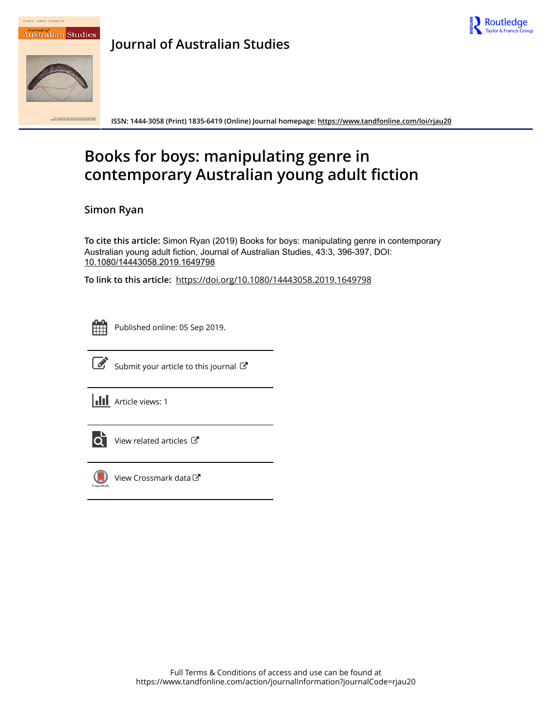



**Journal of Australian Studies**

**ISSN: 1444-3058 (Print) 1835-6419 (Online) Journal homepage:<https://www.tandfonline.com/loi/rjau20>**

## **Books for boys: manipulating genre in contemporary Australian young adult fiction**

**Simon Ryan**

**To cite this article:** Simon Ryan (2019) Books for boys: manipulating genre in contemporary Australian young adult fiction, Journal of Australian Studies, 43:3, 396-397, DOI: [10.1080/14443058.2019.1649798](https://www.tandfonline.com/action/showCitFormats?doi=10.1080/14443058.2019.1649798)

**To link to this article:** <https://doi.org/10.1080/14443058.2019.1649798>

|  | - |  |
|--|---|--|
|  |   |  |
|  |   |  |
|  |   |  |

Published online: 05 Sep 2019.



 $\overrightarrow{S}$  [Submit your article to this journal](https://www.tandfonline.com/action/authorSubmission?journalCode=rjau20&show=instructions)  $\overrightarrow{S}$ 

**III** Article views: 1



 $\overline{Q}$  [View related articles](https://www.tandfonline.com/doi/mlt/10.1080/14443058.2019.1649798)  $\overline{C}$ 



[View Crossmark data](http://crossmark.crossref.org/dialog/?doi=10.1080/14443058.2019.1649798&domain=pdf&date_stamp=2019-09-05)  $\sigma$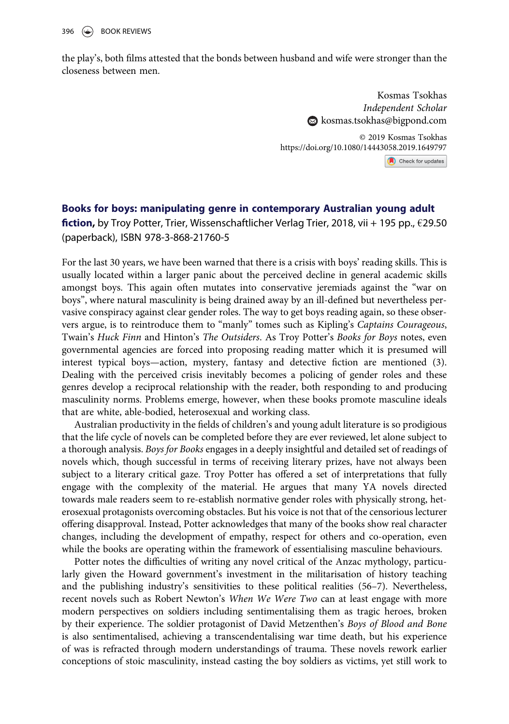the play's, both films attested that the bonds between husband and wife were stronger than the closeness between men.

> Kosmas Tsokhas Independent Scholar [kosmas.tsokhas@bigpond.com](mailto:kosmas.tsokhas@bigpond.com)

© 2019 Kosmas Tsokhas https://doi.org/10.1080/14443058.2019.1649797 Check for updates

## Books for boys: manipulating genre in contemporary Australian young adult

fiction, by Troy Potter, Trier, Wissenschaftlicher Verlag Trier, 2018, vii + 195 pp.,  $629.50$ (paperback), ISBN 978-3-868-21760-5

For the last 30 years, we have been warned that there is a crisis with boys' reading skills. This is usually located within a larger panic about the perceived decline in general academic skills amongst boys. This again often mutates into conservative jeremiads against the "war on boys", where natural masculinity is being drained away by an ill-defined but nevertheless pervasive conspiracy against clear gender roles. The way to get boys reading again, so these observers argue, is to reintroduce them to "manly" tomes such as Kipling's Captains Courageous, Twain's Huck Finn and Hinton's The Outsiders. As Troy Potter's Books for Boys notes, even governmental agencies are forced into proposing reading matter which it is presumed will interest typical boys—action, mystery, fantasy and detective fiction are mentioned (3). Dealing with the perceived crisis inevitably becomes a policing of gender roles and these genres develop a reciprocal relationship with the reader, both responding to and producing masculinity norms. Problems emerge, however, when these books promote masculine ideals that are white, able-bodied, heterosexual and working class.

Australian productivity in the fields of children's and young adult literature is so prodigious that the life cycle of novels can be completed before they are ever reviewed, let alone subject to a thorough analysis. Boys for Books engages in a deeply insightful and detailed set of readings of novels which, though successful in terms of receiving literary prizes, have not always been subject to a literary critical gaze. Troy Potter has offered a set of interpretations that fully engage with the complexity of the material. He argues that many YA novels directed towards male readers seem to re-establish normative gender roles with physically strong, heterosexual protagonists overcoming obstacles. But his voice is not that of the censorious lecturer offering disapproval. Instead, Potter acknowledges that many of the books show real character changes, including the development of empathy, respect for others and co-operation, even while the books are operating within the framework of essentialising masculine behaviours.

Potter notes the difficulties of writing any novel critical of the Anzac mythology, particularly given the Howard government's investment in the militarisation of history teaching and the publishing industry's sensitivities to these political realities (56–7). Nevertheless, recent novels such as Robert Newton's When We Were Two can at least engage with more modern perspectives on soldiers including sentimentalising them as tragic heroes, broken by their experience. The soldier protagonist of David Metzenthen's Boys of Blood and Bone is also sentimentalised, achieving a transcendentalising war time death, but his experience of was is refracted through modern understandings of trauma. These novels rework earlier conceptions of stoic masculinity, instead casting the boy soldiers as victims, yet still work to